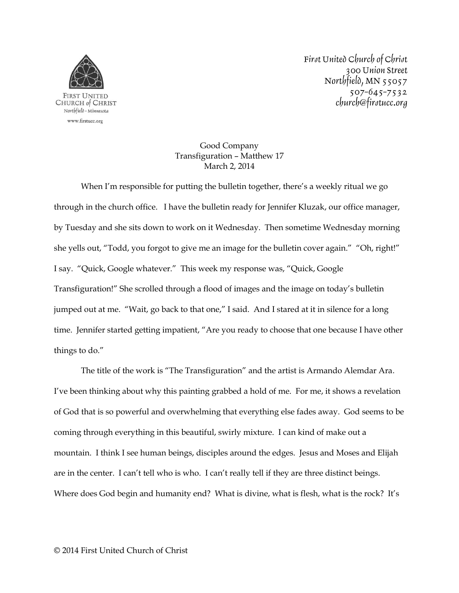

First United Church of Christ 300 Union Street Northfield,  $MN$  55057  $507 - 645 - 7532$ church@firstucc.org

## Good Company Transfiguration – Matthew 17 March 2, 2014

When I'm responsible for putting the bulletin together, there's a weekly ritual we go through in the church office. I have the bulletin ready for Jennifer Kluzak, our office manager, by Tuesday and she sits down to work on it Wednesday. Then sometime Wednesday morning she yells out, "Todd, you forgot to give me an image for the bulletin cover again." "Oh, right!" I say. "Quick, Google whatever." This week my response was, "Quick, Google Transfiguration!" She scrolled through a flood of images and the image on today's bulletin jumped out at me. "Wait, go back to that one," I said. And I stared at it in silence for a long time. Jennifer started getting impatient, "Are you ready to choose that one because I have other things to do."

The title of the work is "The Transfiguration" and the artist is Armando Alemdar Ara. I've been thinking about why this painting grabbed a hold of me. For me, it shows a revelation of God that is so powerful and overwhelming that everything else fades away. God seems to be coming through everything in this beautiful, swirly mixture. I can kind of make out a mountain. I think I see human beings, disciples around the edges. Jesus and Moses and Elijah are in the center. I can't tell who is who. I can't really tell if they are three distinct beings. Where does God begin and humanity end? What is divine, what is flesh, what is the rock? It's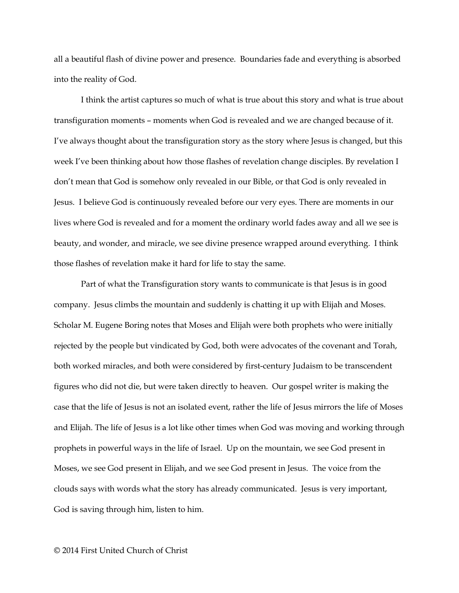all a beautiful flash of divine power and presence. Boundaries fade and everything is absorbed into the reality of God.

I think the artist captures so much of what is true about this story and what is true about transfiguration moments – moments when God is revealed and we are changed because of it. I've always thought about the transfiguration story as the story where Jesus is changed, but this week I've been thinking about how those flashes of revelation change disciples. By revelation I don't mean that God is somehow only revealed in our Bible, or that God is only revealed in Jesus. I believe God is continuously revealed before our very eyes. There are moments in our lives where God is revealed and for a moment the ordinary world fades away and all we see is beauty, and wonder, and miracle, we see divine presence wrapped around everything. I think those flashes of revelation make it hard for life to stay the same.

Part of what the Transfiguration story wants to communicate is that Jesus is in good company. Jesus climbs the mountain and suddenly is chatting it up with Elijah and Moses. Scholar M. Eugene Boring notes that Moses and Elijah were both prophets who were initially rejected by the people but vindicated by God, both were advocates of the covenant and Torah, both worked miracles, and both were considered by first-century Judaism to be transcendent figures who did not die, but were taken directly to heaven. Our gospel writer is making the case that the life of Jesus is not an isolated event, rather the life of Jesus mirrors the life of Moses and Elijah. The life of Jesus is a lot like other times when God was moving and working through prophets in powerful ways in the life of Israel. Up on the mountain, we see God present in Moses, we see God present in Elijah, and we see God present in Jesus. The voice from the clouds says with words what the story has already communicated. Jesus is very important, God is saving through him, listen to him.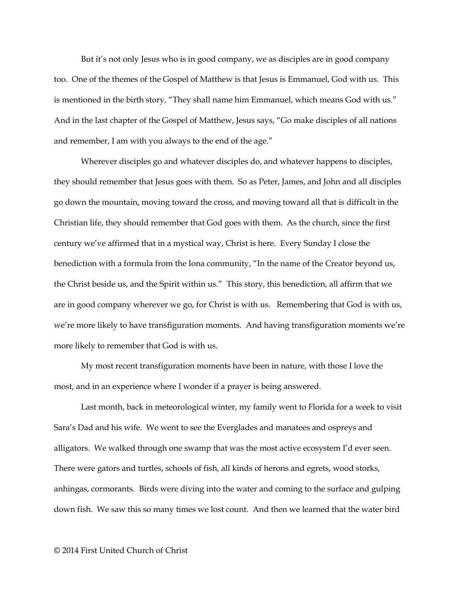But it's not only Jesus who is in good company, we as disciples are in good company too. One of the themes of the Gospel of Matthew is that Jesus is Emmanuel, God with us. This is mentioned in the birth story, "They shall name him Emmanuel, which means God with us." And in the last chapter of the Gospel of Matthew, Jesus says, "Go make disciples of all nations and remember, I am with you always to the end of the age."

Wherever disciples go and whatever disciples do, and whatever happens to disciples, they should remember that Jesus goes with them. So as Peter, James, and John and all disciples go down the mountain, moving toward the cross, and moving toward all that is difficult in the Christian life, they should remember that God goes with them. As the church, since the first century we've affirmed that in a mystical way, Christ is here. Every Sunday I close the benediction with a formula from the Iona community, "In the name of the Creator beyond us, the Christ beside us, and the Spirit within us." This story, this benediction, all affirm that we are in good company wherever we go, for Christ is with us. Remembering that God is with us, we're more likely to have transfiguration moments. And having transfiguration moments we're more likely to remember that God is with us.

My most recent transfiguration moments have been in nature, with those I love the most, and in an experience where I wonder if a prayer is being answered.

Last month, back in meteorological winter, my family went to Florida for a week to visit Sara's Dad and his wife. We went to see the Everglades and manatees and ospreys and alligators. We walked through one swamp that was the most active ecosystem I'd ever seen. There were gators and turtles, schools of fish, all kinds of herons and egrets, wood storks, anhingas, cormorants. Birds were diving into the water and coming to the surface and gulping down fish. We saw this so many times we lost count. And then we learned that the water bird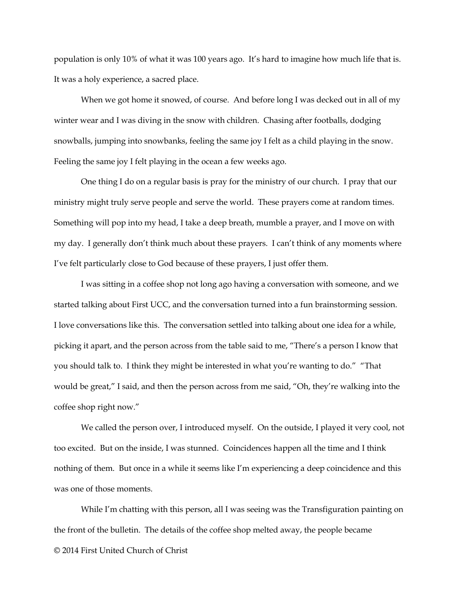population is only 10% of what it was 100 years ago. It's hard to imagine how much life that is. It was a holy experience, a sacred place.

When we got home it snowed, of course. And before long I was decked out in all of my winter wear and I was diving in the snow with children. Chasing after footballs, dodging snowballs, jumping into snowbanks, feeling the same joy I felt as a child playing in the snow. Feeling the same joy I felt playing in the ocean a few weeks ago.

One thing I do on a regular basis is pray for the ministry of our church. I pray that our ministry might truly serve people and serve the world. These prayers come at random times. Something will pop into my head, I take a deep breath, mumble a prayer, and I move on with my day. I generally don't think much about these prayers. I can't think of any moments where I've felt particularly close to God because of these prayers, I just offer them.

I was sitting in a coffee shop not long ago having a conversation with someone, and we started talking about First UCC, and the conversation turned into a fun brainstorming session. I love conversations like this. The conversation settled into talking about one idea for a while, picking it apart, and the person across from the table said to me, "There's a person I know that you should talk to. I think they might be interested in what you're wanting to do." "That would be great," I said, and then the person across from me said, "Oh, they're walking into the coffee shop right now."

We called the person over, I introduced myself. On the outside, I played it very cool, not too excited. But on the inside, I was stunned. Coincidences happen all the time and I think nothing of them. But once in a while it seems like I'm experiencing a deep coincidence and this was one of those moments.

© 2014 First United Church of Christ While I'm chatting with this person, all I was seeing was the Transfiguration painting on the front of the bulletin. The details of the coffee shop melted away, the people became